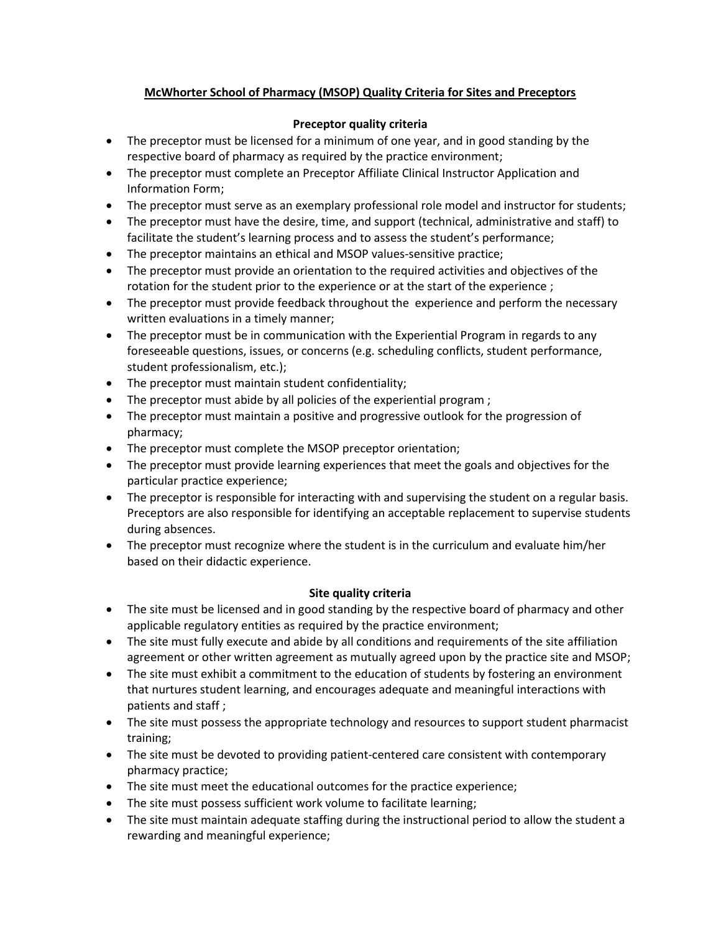## **McWhorter School of Pharmacy (MSOP) Quality Criteria for Sites and Preceptors**

## **Preceptor quality criteria**

- The preceptor must be licensed for a minimum of one year, and in good standing by the respective board of pharmacy as required by the practice environment;
- The preceptor must complete an Preceptor Affiliate Clinical Instructor Application and Information Form;
- The preceptor must serve as an exemplary professional role model and instructor for students;
- The preceptor must have the desire, time, and support (technical, administrative and staff) to facilitate the student's learning process and to assess the student's performance;
- The preceptor maintains an ethical and MSOP values-sensitive practice;
- The preceptor must provide an orientation to the required activities and objectives of the rotation for the student prior to the experience or at the start of the experience ;
- The preceptor must provide feedback throughout the experience and perform the necessary written evaluations in a timely manner;
- The preceptor must be in communication with the Experiential Program in regards to any foreseeable questions, issues, or concerns (e.g. scheduling conflicts, student performance, student professionalism, etc.);
- The preceptor must maintain student confidentiality;
- The preceptor must abide by all policies of the experiential program;
- The preceptor must maintain a positive and progressive outlook for the progression of pharmacy;
- The preceptor must complete the MSOP preceptor orientation;
- The preceptor must provide learning experiences that meet the goals and objectives for the particular practice experience;
- The preceptor is responsible for interacting with and supervising the student on a regular basis. Preceptors are also responsible for identifying an acceptable replacement to supervise students during absences.
- The preceptor must recognize where the student is in the curriculum and evaluate him/her based on their didactic experience.

## **Site quality criteria**

- The site must be licensed and in good standing by the respective board of pharmacy and other applicable regulatory entities as required by the practice environment;
- The site must fully execute and abide by all conditions and requirements of the site affiliation agreement or other written agreement as mutually agreed upon by the practice site and MSOP;
- The site must exhibit a commitment to the education of students by fostering an environment that nurtures student learning, and encourages adequate and meaningful interactions with patients and staff ;
- The site must possess the appropriate technology and resources to support student pharmacist training;
- The site must be devoted to providing patient-centered care consistent with contemporary pharmacy practice;
- The site must meet the educational outcomes for the practice experience;
- The site must possess sufficient work volume to facilitate learning;
- The site must maintain adequate staffing during the instructional period to allow the student a rewarding and meaningful experience;